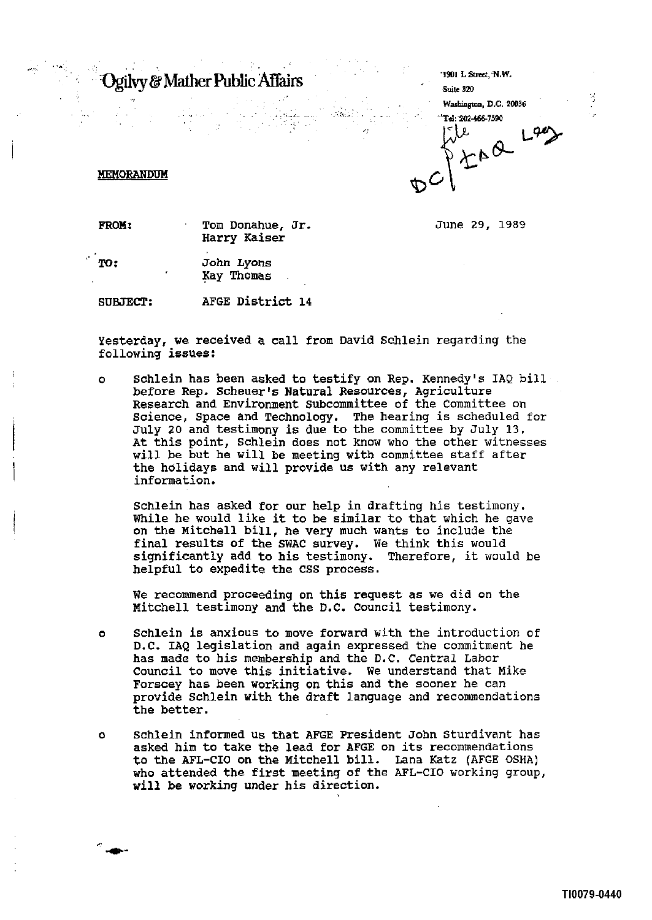## Ogilvy & Mather Public Affairs

| Ogilvy & Mather Public Affairs |  |  |                 | '1901 L Street, 'N.W.<br>Suite 320          |
|--------------------------------|--|--|-----------------|---------------------------------------------|
| $\sim$                         |  |  | $\mathcal{L}_L$ | Washington, D.C. 20036<br>Tel: 202-466-7590 |
|                                |  |  |                 |                                             |

. ,

## **MEMORANDUM**

I

June 29, 1989

**FROM:** Tom Donahue, Jr. Harry Kaiser

John Lyons TO: Kay Thomas

SUBJECT: AFGE District 14

Yesterday, we received a call from David Schlein regarding the following issues:

o Schlein has been asked to testify on Rep. Kennedy's IAQ bill before Rep. Scheuer's Natural Resources, Agriculture Research and Environment subcommittee of the Committee on Science, Space and Technology. The hearing is scheduled for July 20 and testimony is due to the committee by July 13. At this point, Schlein does not know who the other witnesses will be but he will be meeting with committee staff after the holidays and will provide us with any relevant information.

Schlein has asked for our help in drafting his testimony. While he would like it to be similar to that which he gave on the Mitchell bill, he very much wants to include the final results of the SWAC survey. We think this would be significantly add to his testimony. Therefore, it would be significantly add to his testimony. helpful to expedite the CSS process.

We recommend proceeding on this request as we did on the Mitchell testimony and the D.C. Council testimony.

- o Schlein is anxious to move forward with the introduction of D.C. IAQ legislation and again expressed the commitment he has made to his membership and the D.C. Central Labor Council to move this initiative. We understand that Mike Forscey has been working on this and the sooner he can provide Schlein with the draft language and recommendations the better.
- 0 Schlein informed us that AFGE President John Sturdivant has asked him to take the lead for AFGE on its recommendations to the AFL-CIO on the Mitchell bill. Lana Katz (AFGE OSHA) who attended the first meeting of the AFL-CIO working group, will be working under his direction.